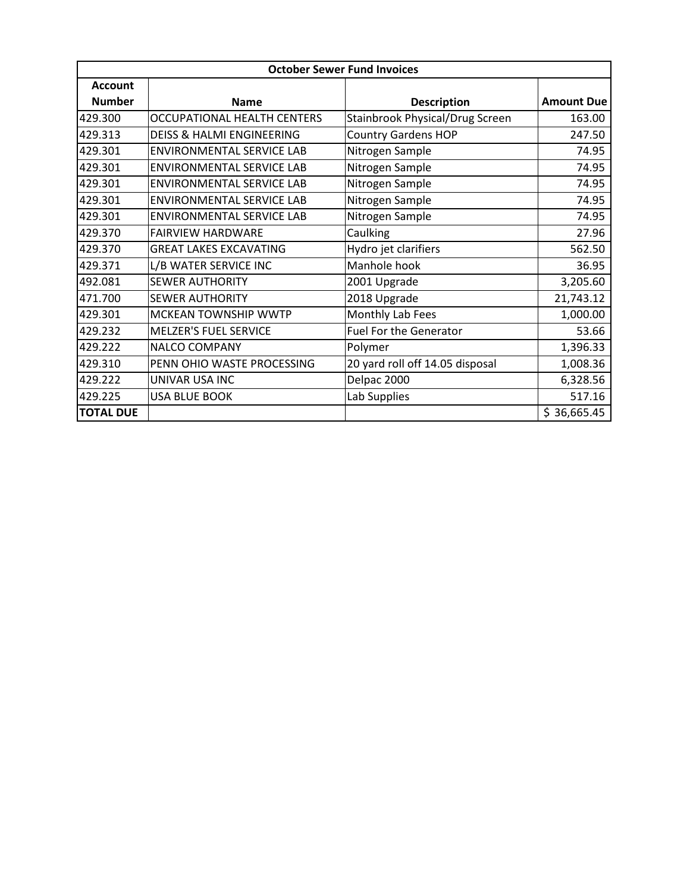| <b>October Sewer Fund Invoices</b> |                                      |                                 |                   |
|------------------------------------|--------------------------------------|---------------------------------|-------------------|
| <b>Account</b>                     |                                      |                                 |                   |
| <b>Number</b>                      | <b>Name</b>                          | <b>Description</b>              | <b>Amount Due</b> |
| 429.300                            | OCCUPATIONAL HEALTH CENTERS          | Stainbrook Physical/Drug Screen | 163.00            |
| 429.313                            | <b>DEISS &amp; HALMI ENGINEERING</b> | <b>Country Gardens HOP</b>      | 247.50            |
| 429.301                            | <b>ENVIRONMENTAL SERVICE LAB</b>     | Nitrogen Sample                 | 74.95             |
| 429.301                            | <b>ENVIRONMENTAL SERVICE LAB</b>     | Nitrogen Sample                 | 74.95             |
| 429.301                            | ENVIRONMENTAL SERVICE LAB            | Nitrogen Sample                 | 74.95             |
| 429.301                            | <b>ENVIRONMENTAL SERVICE LAB</b>     | Nitrogen Sample                 | 74.95             |
| 429.301                            | <b>ENVIRONMENTAL SERVICE LAB</b>     | Nitrogen Sample                 | 74.95             |
| 429.370                            | <b>FAIRVIEW HARDWARE</b>             | Caulking                        | 27.96             |
| 429.370                            | <b>GREAT LAKES EXCAVATING</b>        | Hydro jet clarifiers            | 562.50            |
| 429.371                            | L/B WATER SERVICE INC                | Manhole hook                    | 36.95             |
| 492.081                            | <b>SEWER AUTHORITY</b>               | 2001 Upgrade                    | 3,205.60          |
| 471.700                            | <b>SEWER AUTHORITY</b>               | 2018 Upgrade                    | 21,743.12         |
| 429.301                            | <b>MCKEAN TOWNSHIP WWTP</b>          | Monthly Lab Fees                | 1,000.00          |
| 429.232                            | <b>MELZER'S FUEL SERVICE</b>         | Fuel For the Generator          | 53.66             |
| 429.222                            | NALCO COMPANY                        | Polymer                         | 1,396.33          |
| 429.310                            | PENN OHIO WASTE PROCESSING           | 20 yard roll off 14.05 disposal | 1,008.36          |
| 429.222                            | UNIVAR USA INC                       | Delpac 2000                     | 6,328.56          |
| 429.225                            | <b>USA BLUE BOOK</b>                 | Lab Supplies                    | 517.16            |
| <b>TOTAL DUE</b>                   |                                      |                                 | \$36,665.45       |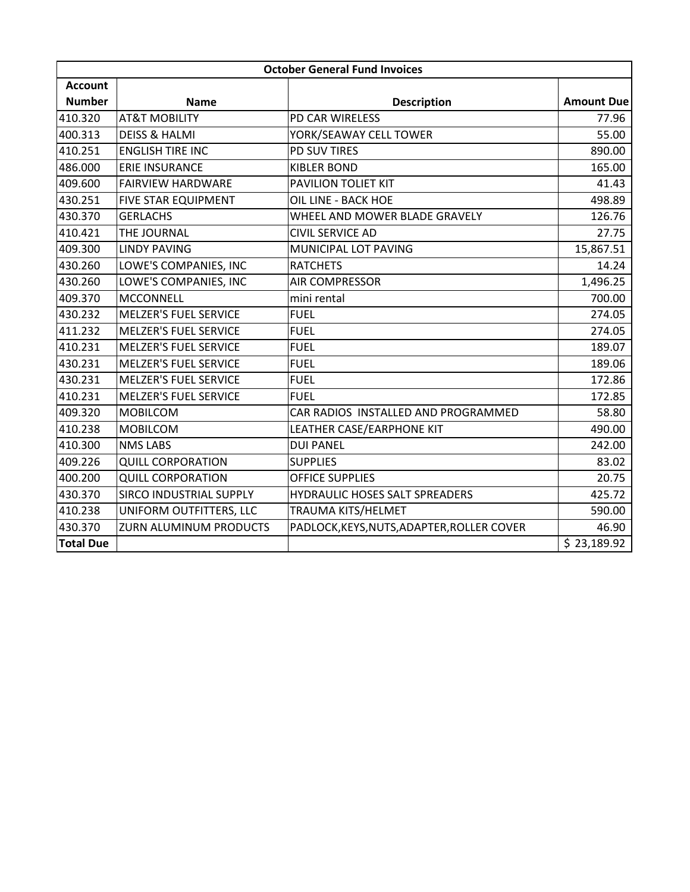| <b>October General Fund Invoices</b> |                              |                                            |                   |
|--------------------------------------|------------------------------|--------------------------------------------|-------------------|
| <b>Account</b>                       |                              |                                            |                   |
| <b>Number</b>                        | <b>Name</b>                  | <b>Description</b>                         | <b>Amount Due</b> |
| 410.320                              | <b>AT&amp;T MOBILITY</b>     | PD CAR WIRELESS                            | 77.96             |
| 400.313                              | <b>DEISS &amp; HALMI</b>     | YORK/SEAWAY CELL TOWER                     | 55.00             |
| 410.251                              | <b>ENGLISH TIRE INC</b>      | PD SUV TIRES                               | 890.00            |
| 486.000                              | <b>ERIE INSURANCE</b>        | <b>KIBLER BOND</b>                         | 165.00            |
| 409.600                              | <b>FAIRVIEW HARDWARE</b>     | PAVILION TOLIET KIT                        | 41.43             |
| 430.251                              | FIVE STAR EQUIPMENT          | OIL LINE - BACK HOE                        | 498.89            |
| 430.370                              | <b>GERLACHS</b>              | WHEEL AND MOWER BLADE GRAVELY              | 126.76            |
| 410.421                              | THE JOURNAL                  | <b>CIVIL SERVICE AD</b>                    | 27.75             |
| 409.300                              | <b>LINDY PAVING</b>          | MUNICIPAL LOT PAVING                       | 15,867.51         |
| 430.260                              | LOWE'S COMPANIES, INC        | <b>RATCHETS</b>                            | 14.24             |
| 430.260                              | LOWE'S COMPANIES, INC        | <b>AIR COMPRESSOR</b>                      | 1,496.25          |
| 409.370                              | <b>MCCONNELL</b>             | mini rental                                | 700.00            |
| 430.232                              | <b>MELZER'S FUEL SERVICE</b> | <b>FUEL</b>                                | 274.05            |
| 411.232                              | <b>MELZER'S FUEL SERVICE</b> | <b>FUEL</b>                                | 274.05            |
| 410.231                              | <b>MELZER'S FUEL SERVICE</b> | <b>FUEL</b>                                | 189.07            |
| 430.231                              | MELZER'S FUEL SERVICE        | <b>FUEL</b>                                | 189.06            |
| 430.231                              | <b>MELZER'S FUEL SERVICE</b> | <b>FUEL</b>                                | 172.86            |
| 410.231                              | <b>MELZER'S FUEL SERVICE</b> | <b>FUEL</b>                                | 172.85            |
| 409.320                              | <b>MOBILCOM</b>              | CAR RADIOS INSTALLED AND PROGRAMMED        | 58.80             |
| 410.238                              | <b>MOBILCOM</b>              | LEATHER CASE/EARPHONE KIT                  | 490.00            |
| 410.300                              | <b>NMS LABS</b>              | <b>DUI PANEL</b>                           | 242.00            |
| 409.226                              | <b>QUILL CORPORATION</b>     | <b>SUPPLIES</b>                            | 83.02             |
| 400.200                              | <b>QUILL CORPORATION</b>     | <b>OFFICE SUPPLIES</b>                     | 20.75             |
| 430.370                              | SIRCO INDUSTRIAL SUPPLY      | <b>HYDRAULIC HOSES SALT SPREADERS</b>      | 425.72            |
| 410.238                              | UNIFORM OUTFITTERS, LLC      | TRAUMA KITS/HELMET                         | 590.00            |
| 430.370                              | ZURN ALUMINUM PRODUCTS       | PADLOCK, KEYS, NUTS, ADAPTER, ROLLER COVER | 46.90             |
| <b>Total Due</b>                     |                              |                                            | \$23,189.92       |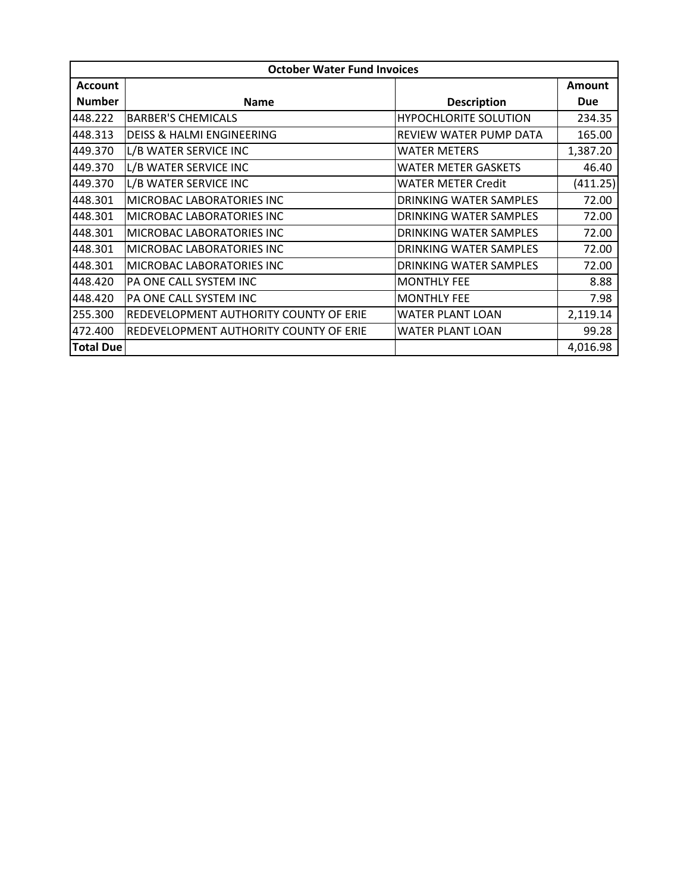| <b>October Water Fund Invoices</b> |                                        |                              |            |
|------------------------------------|----------------------------------------|------------------------------|------------|
| <b>Account</b>                     |                                        |                              | Amount     |
| <b>Number</b>                      | <b>Name</b>                            | <b>Description</b>           | <b>Due</b> |
| 448.222                            | <b>BARBER'S CHEMICALS</b>              | <b>HYPOCHLORITE SOLUTION</b> | 234.35     |
| 448.313                            | <b>DEISS &amp; HALMI ENGINEERING</b>   | REVIEW WATER PUMP DATA       | 165.00     |
| 449.370                            | L/B WATER SERVICE INC                  | <b>WATER METERS</b>          | 1,387.20   |
| 449.370                            | L/B WATER SERVICE INC                  | WATER METER GASKETS          | 46.40      |
| 449.370                            | L/B WATER SERVICE INC                  | <b>WATER METER Credit</b>    | (411.25)   |
| 448.301                            | MICROBAC LABORATORIES INC              | DRINKING WATER SAMPLES       | 72.00      |
| 448.301                            | MICROBAC LABORATORIES INC              | DRINKING WATER SAMPLES       | 72.00      |
| 448.301                            | MICROBAC LABORATORIES INC              | DRINKING WATER SAMPLES       | 72.00      |
| 448.301                            | MICROBAC LABORATORIES INC              | DRINKING WATER SAMPLES       | 72.00      |
| 448.301                            | MICROBAC LABORATORIES INC              | DRINKING WATER SAMPLES       | 72.00      |
| 448.420                            | PA ONE CALL SYSTEM INC                 | <b>MONTHLY FEE</b>           | 8.88       |
| 448.420                            | PA ONE CALL SYSTEM INC                 | <b>MONTHLY FEE</b>           | 7.98       |
| 255.300                            | REDEVELOPMENT AUTHORITY COUNTY OF ERIE | <b>WATER PLANT LOAN</b>      | 2,119.14   |
| 472.400                            | REDEVELOPMENT AUTHORITY COUNTY OF ERIE | <b>WATER PLANT LOAN</b>      | 99.28      |
| <b>Total Due</b>                   |                                        |                              | 4,016.98   |